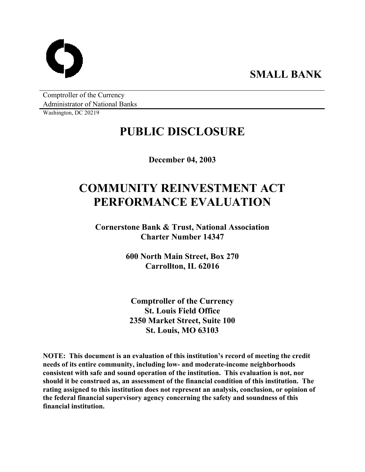

Comptroller of the Currency Administrator of National Banks

Washington, DC 20219

# **PUBLIC DISCLOSURE**

**December 04, 2003** 

# **COMMUNITY REINVESTMENT ACT PERFORMANCE EVALUATION**

**Cornerstone Bank & Trust, National Association Charter Number 14347** 

> **600 North Main Street, Box 270 Carrollton, IL 62016**

**Comptroller of the Currency St. Louis Field Office 2350 Market Street, Suite 100 St. Louis, MO 63103** 

**NOTE: This document is an evaluation of this institution's record of meeting the credit needs of its entire community, including low- and moderate-income neighborhoods consistent with safe and sound operation of the institution. This evaluation is not, nor should it be construed as, an assessment of the financial condition of this institution. The rating assigned to this institution does not represent an analysis, conclusion, or opinion of the federal financial supervisory agency concerning the safety and soundness of this financial institution.**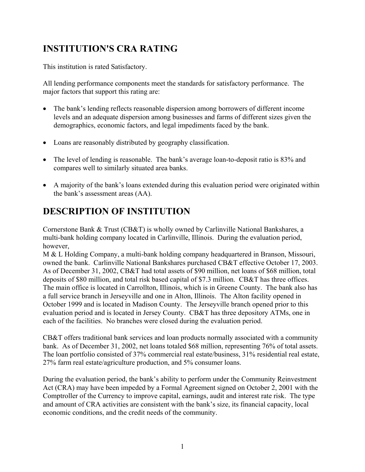## **INSTITUTION'S CRA RATING**

This institution is rated Satisfactory.

All lending performance components meet the standards for satisfactory performance. The major factors that support this rating are:

- The bank's lending reflects reasonable dispersion among borrowers of different income levels and an adequate dispersion among businesses and farms of different sizes given the demographics, economic factors, and legal impediments faced by the bank.
- Loans are reasonably distributed by geography classification.
- The level of lending is reasonable. The bank's average loan-to-deposit ratio is 83% and compares well to similarly situated area banks.
- A majority of the bank's loans extended during this evaluation period were originated within the bank's assessment areas (AA).

## **DESCRIPTION OF INSTITUTION**

Cornerstone Bank & Trust (CB&T) is wholly owned by Carlinville National Bankshares, a multi-bank holding company located in Carlinville, Illinois. During the evaluation period, however,

M & L Holding Company, a multi-bank holding company headquartered in Branson, Missouri, owned the bank. Carlinville National Bankshares purchased CB&T effective October 17, 2003. As of December 31, 2002, CB&T had total assets of \$90 million, net loans of \$68 million, total deposits of \$80 million, and total risk based capital of \$7.3 million. CB&T has three offices. The main office is located in Carrollton, Illinois, which is in Greene County. The bank also has a full service branch in Jerseyville and one in Alton, Illinois. The Alton facility opened in October 1999 and is located in Madison County. The Jerseyville branch opened prior to this evaluation period and is located in Jersey County. CB&T has three depository ATMs, one in each of the facilities. No branches were closed during the evaluation period.

CB&T offers traditional bank services and loan products normally associated with a community bank. As of December 31, 2002, net loans totaled \$68 million, representing 76% of total assets. The loan portfolio consisted of 37% commercial real estate/business, 31% residential real estate, 27% farm real estate/agriculture production, and 5% consumer loans.

During the evaluation period, the bank's ability to perform under the Community Reinvestment Act (CRA) may have been impeded by a Formal Agreement signed on October 2, 2001 with the Comptroller of the Currency to improve capital, earnings, audit and interest rate risk. The type and amount of CRA activities are consistent with the bank's size, its financial capacity, local economic conditions, and the credit needs of the community.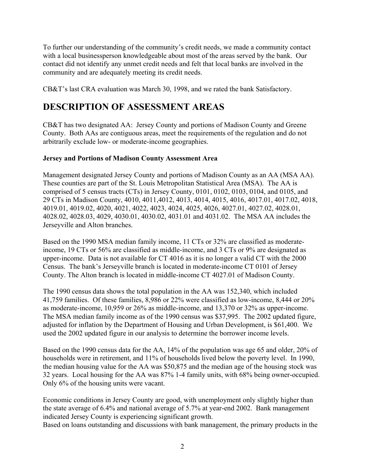To further our understanding of the community's credit needs, we made a community contact with a local businessperson knowledgeable about most of the areas served by the bank. Our contact did not identify any unmet credit needs and felt that local banks are involved in the community and are adequately meeting its credit needs.

CB&T's last CRA evaluation was March 30, 1998, and we rated the bank Satisfactory.

### **DESCRIPTION OF ASSESSMENT AREAS**

CB&T has two designated AA: Jersey County and portions of Madison County and Greene County. Both AAs are contiguous areas, meet the requirements of the regulation and do not arbitrarily exclude low- or moderate-income geographies.

#### **Jersey and Portions of Madison County Assessment Area**

Management designated Jersey County and portions of Madison County as an AA (MSA AA). These counties are part of the St. Louis Metropolitan Statistical Area (MSA). The AA is comprised of 5 census tracts (CTs) in Jersey County, 0101, 0102, 0103, 0104, and 0105, and 29 CTs in Madison County, 4010, 4011,4012, 4013, 4014, 4015, 4016, 4017.01, 4017.02, 4018, 4019.01, 4019.02, 4020, 4021, 4022, 4023, 4024, 4025, 4026, 4027.01, 4027.02, 4028.01, 4028.02, 4028.03, 4029, 4030.01, 4030.02, 4031.01 and 4031.02. The MSA AA includes the Jerseyville and Alton branches.

Based on the 1990 MSA median family income, 11 CTs or 32% are classified as moderateincome, 19 CTs or 56% are classified as middle-income, and 3 CTs or 9% are designated as upper-income. Data is not available for CT 4016 as it is no longer a valid CT with the 2000 Census. The bank's Jerseyville branch is located in moderate-income CT 0101 of Jersey County. The Alton branch is located in middle-income CT 4027.01 of Madison County.

The 1990 census data shows the total population in the AA was 152,340, which included 41,759 families. Of these families, 8,986 or 22% were classified as low-income, 8,444 or 20% as moderate-income, 10,959 or 26% as middle-income, and 13,370 or 32% as upper-income. The MSA median family income as of the 1990 census was \$37,995. The 2002 updated figure, adjusted for inflation by the Department of Housing and Urban Development, is \$61,400. We used the 2002 updated figure in our analysis to determine the borrower income levels.

Based on the 1990 census data for the AA, 14% of the population was age 65 and older, 20% of households were in retirement, and 11% of households lived below the poverty level. In 1990, the median housing value for the AA was \$50,875 and the median age of the housing stock was 32 years. Local housing for the AA was 87% 1-4 family units, with 68% being owner-occupied. Only 6% of the housing units were vacant.

Economic conditions in Jersey County are good, with unemployment only slightly higher than the state average of 6.4% and national average of 5.7% at year-end 2002. Bank management indicated Jersey County is experiencing significant growth.

Based on loans outstanding and discussions with bank management, the primary products in the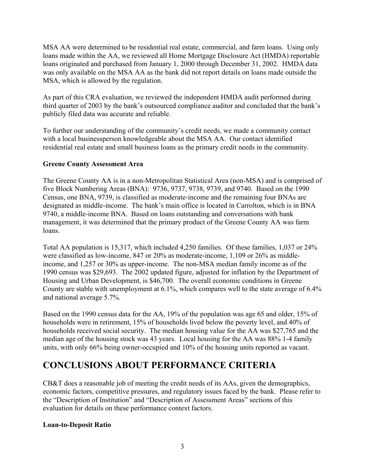MSA AA were determined to be residential real estate, commercial, and farm loans. Using only loans made within the AA, we reviewed all Home Mortgage Disclosure Act (HMDA) reportable loans originated and purchased from January 1, 2000 through December 31, 2002. HMDA data was only available on the MSA AA as the bank did not report details on loans made outside the MSA, which is allowed by the regulation.

As part of this CRA evaluation, we reviewed the independent HMDA audit performed during third quarter of 2003 by the bank's outsourced compliance auditor and concluded that the bank's publicly filed data was accurate and reliable.

To further our understanding of the community's credit needs, we made a community contact with a local businessperson knowledgeable about the MSA AA. Our contact identified residential real estate and small business loans as the primary credit needs in the community.

#### **Greene County Assessment Area**

The Greene County AA is in a non-Metropolitan Statistical Area (non-MSA) and is comprised of five Block Numbering Areas (BNA): 9736, 9737, 9738, 9739, and 9740. Based on the 1990 Census, one BNA, 9739, is classified as moderate-income and the remaining four BNAs are designated as middle-income. The bank's main office is located in Carrolton, which is in BNA 9740, a middle-income BNA. Based on loans outstanding and conversations with bank management, it was determined that the primary product of the Greene County AA was farm loans.

Total AA population is 15,317, which included 4,250 families. Of these families, 1,037 or 24% were classified as low-income, 847 or 20% as moderate-income, 1,109 or 26% as middleincome, and 1,257 or 30% as upper-income. The non-MSA median family income as of the 1990 census was \$29,693. The 2002 updated figure, adjusted for inflation by the Department of Housing and Urban Development, is \$46,700. The overall economic conditions in Greene County are stable with unemployment at 6.1%, which compares well to the state average of 6.4% and national average 5.7%.

Based on the 1990 census data for the AA, 19% of the population was age 65 and older, 15% of households were in retirement, 15% of households lived below the poverty level, and 40% of households received social security. The median housing value for the AA was \$27,765 and the median age of the housing stock was 43 years. Local housing for the AA was 88% 1-4 family units, with only 66% being owner-occupied and 10% of the housing units reported as vacant.

### **CONCLUSIONS ABOUT PERFORMANCE CRITERIA**

CB&T does a reasonable job of meeting the credit needs of its AAs, given the demographics, economic factors, competitive pressures, and regulatory issues faced by the bank. Please refer to the "Description of Institution" and "Description of Assessment Areas" sections of this evaluation for details on these performance context factors.

#### **Loan-to-Deposit Ratio**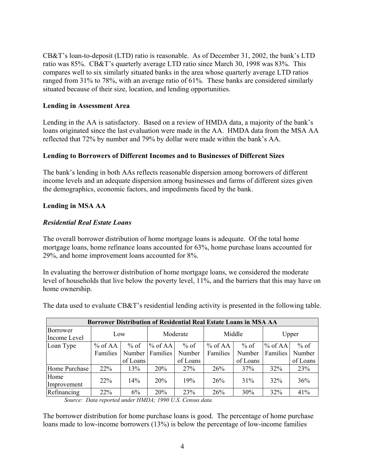CB&T's loan-to-deposit (LTD) ratio is reasonable. As of December 31, 2002, the bank's LTD ratio was 85%. CB&T's quarterly average LTD ratio since March 30, 1998 was 83%. This compares well to six similarly situated banks in the area whose quarterly average LTD ratios ranged from 31% to 78%, with an average ratio of 61%. These banks are considered similarly situated because of their size, location, and lending opportunities.

#### **Lending in Assessment Area**

Lending in the AA is satisfactory. Based on a review of HMDA data, a majority of the bank's loans originated since the last evaluation were made in the AA. HMDA data from the MSA AA reflected that 72% by number and 79% by dollar were made within the bank's AA.

#### **Lending to Borrowers of Different Incomes and to Businesses of Different Sizes**

The bank's lending in both AAs reflects reasonable dispersion among borrowers of different income levels and an adequate dispersion among businesses and farms of different sizes given the demographics, economic factors, and impediments faced by the bank.

#### **Lending in MSA AA**

#### *Residential Real Estate Loans*

The overall borrower distribution of home mortgage loans is adequate. Of the total home mortgage loans, home refinance loans accounted for 63%, home purchase loans accounted for 29%, and home improvement loans accounted for 8%.

In evaluating the borrower distribution of home mortgage loans, we considered the moderate level of households that live below the poverty level, 11%, and the barriers that this may have on home ownership.

| Borrower Distribution of Residential Real Estate Loans in MSA AA |           |          |           |          |           |          |           |          |  |  |  |
|------------------------------------------------------------------|-----------|----------|-----------|----------|-----------|----------|-----------|----------|--|--|--|
| Borrower<br>Income Level                                         | Low       |          | Moderate  |          | Middle    |          | Upper     |          |  |  |  |
| Loan Type                                                        | $%$ of AA | $%$ of   | $%$ of AA | $%$ of   | $%$ of AA | $%$ of   | $%$ of AA | $%$ of   |  |  |  |
|                                                                  | Families  | Number   | Families  | Number   | Families  | Number   | Families  | Number   |  |  |  |
|                                                                  |           | of Loans |           | of Loans |           | of Loans |           | of Loans |  |  |  |
| Home Purchase                                                    | 22%       | 13%      | 20%       | 27%      | 26%       | 37%      | 32%       | 23%      |  |  |  |
| Home<br>Improvement                                              | 22%       | 14%      | 20%       | 19%      | 26%       | 31%      | 32%       | 36%      |  |  |  |
| Refinancing                                                      | 22%       | 6%       | 20%       | 23%      | 26%       | 30%      | 32%       | 41%      |  |  |  |

The data used to evaluate CB&T's residential lending activity is presented in the following table.

*Source: Data reported under HMDA; 1990 U.S. Census data.* 

The borrower distribution for home purchase loans is good. The percentage of home purchase loans made to low-income borrowers (13%) is below the percentage of low-income families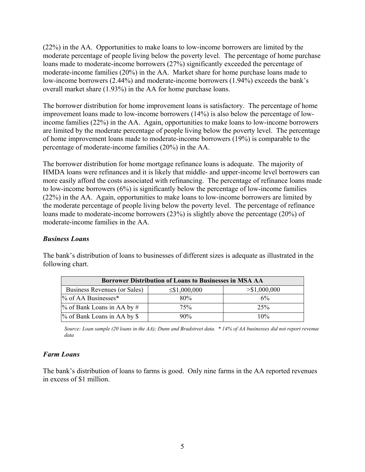(22%) in the AA. Opportunities to make loans to low-income borrowers are limited by the moderate percentage of people living below the poverty level. The percentage of home purchase loans made to moderate-income borrowers (27%) significantly exceeded the percentage of moderate-income families (20%) in the AA. Market share for home purchase loans made to low-income borrowers (2.44%) and moderate-income borrowers (1.94%) exceeds the bank's overall market share (1.93%) in the AA for home purchase loans.

The borrower distribution for home improvement loans is satisfactory. The percentage of home improvement loans made to low-income borrowers (14%) is also below the percentage of lowincome families (22%) in the AA. Again, opportunities to make loans to low-income borrowers are limited by the moderate percentage of people living below the poverty level. The percentage of home improvement loans made to moderate-income borrowers (19%) is comparable to the percentage of moderate-income families (20%) in the AA.

The borrower distribution for home mortgage refinance loans is adequate. The majority of HMDA loans were refinances and it is likely that middle- and upper-income level borrowers can more easily afford the costs associated with refinancing. The percentage of refinance loans made to low-income borrowers (6%) is significantly below the percentage of low-income families (22%) in the AA. Again, opportunities to make loans to low-income borrowers are limited by the moderate percentage of people living below the poverty level. The percentage of refinance loans made to moderate-income borrowers (23%) is slightly above the percentage (20%) of moderate-income families in the AA.

#### *Business Loans*

| <b>Borrower Distribution of Loans to Businesses in MSA AA</b> |                    |                 |  |  |  |  |  |
|---------------------------------------------------------------|--------------------|-----------------|--|--|--|--|--|
| Business Revenues (or Sales)                                  | $\leq$ \$1,000,000 | > \$1,000,000   |  |  |  |  |  |
| $\%$ of AA Businesses*                                        | 80%                | 6%              |  |  |  |  |  |
| $\%$ of Bank Loans in AA by #                                 | 75%                | 25 <sup>%</sup> |  |  |  |  |  |
| % of Bank Loans in AA by \$                                   | 90%                | 10%             |  |  |  |  |  |

The bank's distribution of loans to businesses of different sizes is adequate as illustrated in the following chart.

*Source: Loan sample (20 loans in the AA); Dunn and Bradstreet data. \* 14% of AA businesses did not report revenue data* 

#### *Farm Loans*

The bank's distribution of loans to farms is good. Only nine farms in the AA reported revenues in excess of \$1 million.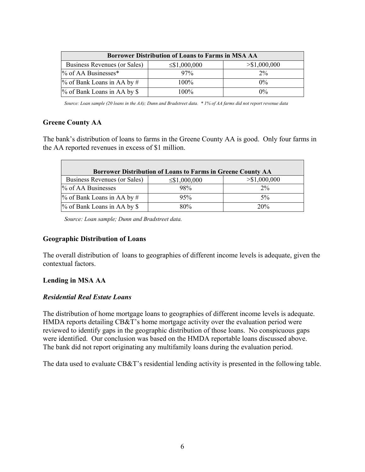| <b>Borrower Distribution of Loans to Farms in MSA AA</b> |                    |                         |  |  |  |  |  |
|----------------------------------------------------------|--------------------|-------------------------|--|--|--|--|--|
| Business Revenues (or Sales)                             | $\leq$ \$1,000,000 | $>\frac{51,000,000}{5}$ |  |  |  |  |  |
| % of AA Businesses*                                      | 97%                | $2\%$                   |  |  |  |  |  |
| $\%$ of Bank Loans in AA by #                            | $100\%$            | $0\%$                   |  |  |  |  |  |
| % of Bank Loans in AA by \$                              | $100\%$            | $0\%$                   |  |  |  |  |  |

*Source: Loan sample (20 loans in the AA); Dunn and Bradstreet data. \* 1% of AA farms did not report revenue data* 

#### **Greene County AA**

The bank's distribution of loans to farms in the Greene County AA is good. Only four farms in the AA reported revenues in excess of \$1 million.

| Borrower Distribution of Loans to Farms in Greene County AA |                    |               |  |  |  |  |  |  |  |
|-------------------------------------------------------------|--------------------|---------------|--|--|--|--|--|--|--|
| Business Revenues (or Sales)                                | $\leq$ \$1,000,000 | > \$1,000,000 |  |  |  |  |  |  |  |
| % of AA Businesses                                          | 98%                | $2\%$         |  |  |  |  |  |  |  |
| $\%$ of Bank Loans in AA by #                               | 95%                | $5\%$         |  |  |  |  |  |  |  |
| % of Bank Loans in AA by \$                                 | 80%                | 20%           |  |  |  |  |  |  |  |

*Source: Loan sample; Dunn and Bradstreet data.* 

#### **Geographic Distribution of Loans**

The overall distribution of loans to geographies of different income levels is adequate, given the contextual factors.

#### **Lending in MSA AA**

#### *Residential Real Estate Loans*

The distribution of home mortgage loans to geographies of different income levels is adequate. HMDA reports detailing CB&T's home mortgage activity over the evaluation period were reviewed to identify gaps in the geographic distribution of those loans. No conspicuous gaps were identified. Our conclusion was based on the HMDA reportable loans discussed above. The bank did not report originating any multifamily loans during the evaluation period.

The data used to evaluate CB&T's residential lending activity is presented in the following table.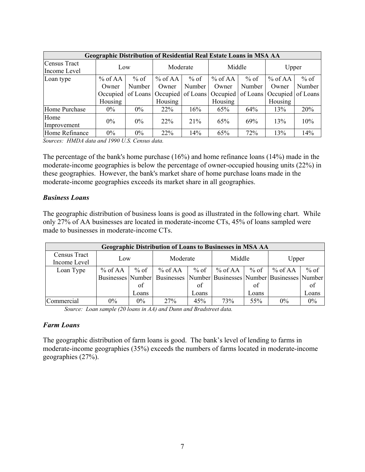| <b>Geographic Distribution of Residential Real Estate Loans in MSA AA</b> |           |        |           |        |                                                      |        |                   |        |  |  |
|---------------------------------------------------------------------------|-----------|--------|-----------|--------|------------------------------------------------------|--------|-------------------|--------|--|--|
| Census Tract<br>Income Level                                              | Low       |        | Moderate  |        | Middle                                               |        | Upper             |        |  |  |
|                                                                           |           |        |           |        |                                                      |        |                   |        |  |  |
| Loan type                                                                 | $%$ of AA | $%$ of | $%$ of AA | $%$ of | $%$ of AA                                            | $%$ of | % of AA           | $%$ of |  |  |
|                                                                           | Owner     | Number | Owner     | Number | Owner                                                | Number | Owner             | Number |  |  |
|                                                                           | Occupied  |        |           |        | of Loans   Occupied   of Loans   Occupied   of Loans |        | Occupied of Loans |        |  |  |
|                                                                           | Housing   |        | Housing   |        | Housing                                              |        | Housing           |        |  |  |
| Home Purchase                                                             | $0\%$     | $0\%$  | $22\%$    | 16%    | 65%                                                  | 64%    | 13%               | 20%    |  |  |
| Home                                                                      | $0\%$     | $0\%$  | $22\%$    | 21%    | 65%                                                  | 69%    | 13%               | 10%    |  |  |
| Improvement                                                               |           |        |           |        |                                                      |        |                   |        |  |  |
| Home Refinance                                                            | 0%        | $0\%$  | 22%       | 14%    | 65%                                                  | 72%    | 13%               | 14%    |  |  |

*Sources: HMDA data and 1990 U.S. Census data.* 

The percentage of the bank's home purchase (16%) and home refinance loans (14%) made in the moderate-income geographies is below the percentage of owner-occupied housing units (22%) in these geographies. However, the bank's market share of home purchase loans made in the moderate-income geographies exceeds its market share in all geographies.

#### *Business Loans*

The geographic distribution of business loans is good as illustrated in the following chart. While only 27% of AA businesses are located in moderate-income CTs, 45% of loans sampled were made to businesses in moderate-income CTs.

| <b>Geographic Distribution of Loans to Businesses in MSA AA</b> |         |        |                                                                                       |                       |                     |        |           |        |  |  |
|-----------------------------------------------------------------|---------|--------|---------------------------------------------------------------------------------------|-----------------------|---------------------|--------|-----------|--------|--|--|
| Census Tract<br>Income Level                                    | Low     |        | Moderate                                                                              |                       | Middle              |        | Upper     |        |  |  |
| Loan Type                                                       | % of AA | $%$ of | $%$ of AA                                                                             | $%$ of $\blacksquare$ | % of AA $\parallel$ | $%$ of | $%$ of AA | $%$ of |  |  |
|                                                                 |         |        | Businesses   Number   Businesses   Number   Businesses   Number   Businesses   Number |                       |                     |        |           |        |  |  |
|                                                                 |         | of     |                                                                                       | of                    |                     | of     |           | of     |  |  |
|                                                                 |         | Loans  |                                                                                       | Loans                 |                     | Loans  |           | Loans  |  |  |
| Commercial                                                      | $0\%$   | $0\%$  | 27%                                                                                   | 45%                   | 73%                 | 55%    | 0%        | 0%     |  |  |

*Source: Loan sample (20 loans in AA) and Dunn and Bradstreet data.* 

#### *Farm Loans*

The geographic distribution of farm loans is good. The bank's level of lending to farms in moderate-income geographies (35%) exceeds the numbers of farms located in moderate-income geographies (27%).